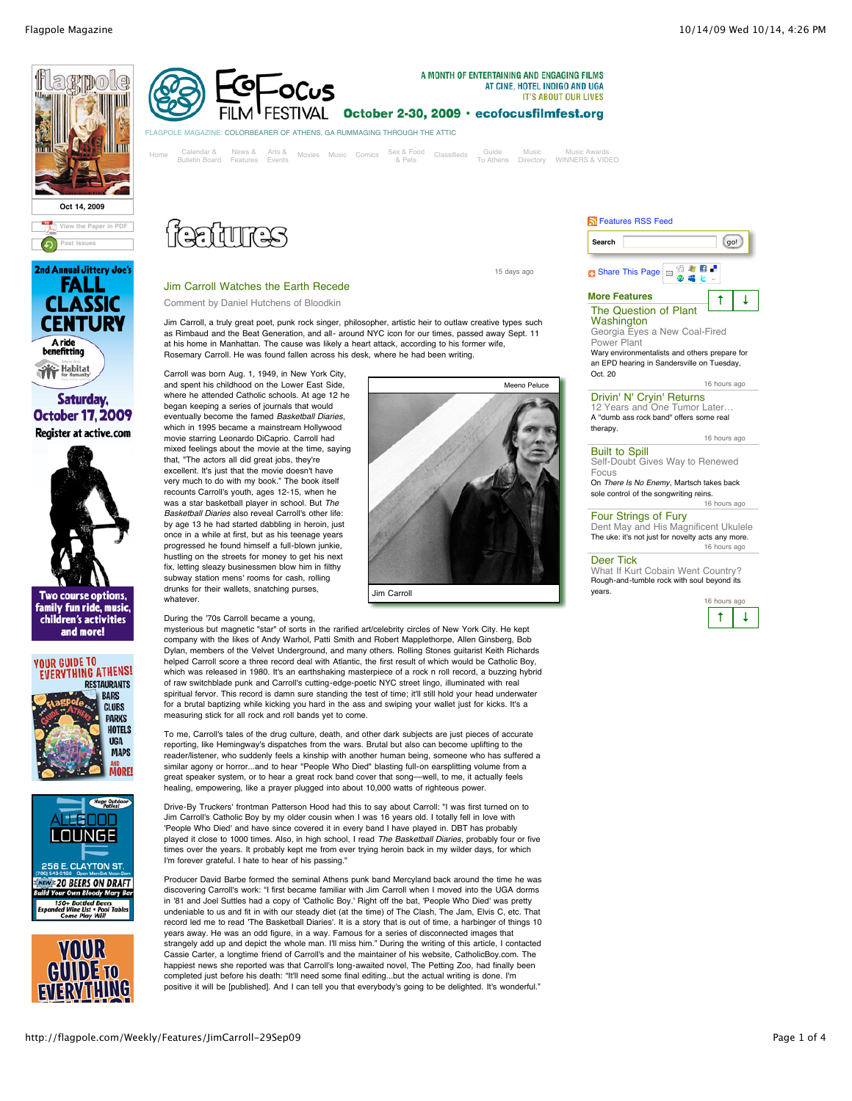





Saturday. **October 17, 2009** Register at active.com





**VOUR GUIDE TO EVERYTHING ATHENS!** 









[Home](http://flagpole.com/Weekly) Calendar& News& Arts& Movies Music Comics Sex&Food Classifieds Guide Music Music Awards<br>Bulletin Board [Features](http://flagpole.com/Weekly/News) [Events](http://flagpole.com/Weekly/Arts) [Movies](http://flagpole.com/Weekly/Movies) [Music](http://flagpole.com/Weekly/Music) [Comics](http://flagpole.com/Weekly/Comics) &Pets To Athens [Directory](http://flagpole.com/MusicDirectory) WINNERS&VIDEO

Jim Carroll, a truly great poet, punk rock singer, philosopher, artistic heir to outlaw creative types such as Rimbaud and the Beat Generation, and all- around NYC icon for our times, passed away Sept. 11

AT CINE, HOTEL INDIGO AND UGA **IT'S ABOUT OUR LIVES** 

Jim Carroll Watches the Earth Recede Comment by Daniel Hutchens of Bloodkin

began keeping a series of journals that would

that, "The actors all did great jobs, they're excellent. It's just that the movie doesn't have very much to do with my book." The book itself recounts Carroll's youth, ages 12-15, when he was a star basketball player in school. But *The Basketball Diaries* also reveal Carroll's other life:

which in 1995 became a mainstream Hollywood movie starring Leonardo DiCaprio. Carroll had

once in a while at first, but as his teenage years progressed he found himself a full-blown junkie,

fix, letting sleazy businessmen blow him in filthy subway station mens' rooms for cash, rolling drunks for their wallets, snatching purses,

During the '70s Carroll became a young,

whatever.

15 days ago



Wary environmentalists and others prepare for an EPD hearing in Sandersville on Tuesday, Oct. 20

#### 16 hours ago

Drivin' N' Cryin' Returns

[12 Years and One Tumor Later…](http://flagpole.com/Weekly/Features/DrivinNCryinReturns-14Oct09) A "dumb ass rock band" offers some real therapy. 16 hours ago

## Built to Spill

[Self-Doubt Gives Way to Renewed](http://flagpole.com/Weekly/Features/BuiltToSpill-14Oct09) Focus

On *There Is No Enemy*, Martsch takes back sole control of the songwriting reins. 16 hours ago

# Four Strings of Fury

[Dent May and His Magnificent Ukulele](http://flagpole.com/Weekly/Features/DentMay-14Oct09) The uke: it's not just for novelty acts any more. 16 hours ago

#### Deer Tick

[What If Kurt Cobain Went Country?](http://flagpole.com/Weekly/Features/DeerTick-14Oct09) Rough-and-tumble rock with soul beyond its years.



spiritual fervor. This record is damn sure standing the test of time; it'll still hold your head underwater for a brutal baptizing while kicking you hard in the ass and swiping your wallet just for kicks. It's a measuring stick for all rock and roll bands yet to come. To me, Carroll's tales of the drug culture, death, and other dark subjects are just pieces of accurate reporting, like Hemingway's dispatches from the wars. Brutal but also can become uplifting to the reader/listener, who suddenly feels a kinship with another human being, someone who has suffered a similar agony or horror...and to hear "People Who Died" blasting full-on earsplitting volume from a great speaker system, or to hear a great rock band cover that song––well, to me, it actually feels healing, empowering, like a prayer plugged into about 10,000 watts of righteous power.

mysterious but magnetic "star" of sorts in the rarified art/celebrity circles of New York City. He kept company with the likes of Andy Warhol, Patti Smith and Robert Mapplethorpe, Allen Ginsberg, Bob Dylan, members of the Velvet Underground, and many others. Rolling Stones guitarist Keith Richards helped Carroll score a three record deal with Atlantic, the first result of which would be Catholic Boy, which was released in 1980. It's an earthshaking masterpiece of a rock n roll record, a buzzing hybrid of raw switchblade punk and Carroll's cutting-edge-poetic NYC street lingo, illuminated with real

Drive-By Truckers' frontman Patterson Hood had this to say about Carroll: "I was first turned on to Jim Carroll's Catholic Boy by my older cousin when I was 16 years old. I totally fell in love with 'People Who Died' and have since covered it in every band I have played in. DBT has probably played it close to 1000 times. Also, in high school, I read *The Basketball Diaries*, probably four or five times over the years. It probably kept me from ever trying heroin back in my wilder days, for which I'm forever grateful. I hate to hear of his passing."

Producer David Barbe formed the seminal Athens punk band Mercyland back around the time he was discovering Carroll's work: "I first became familiar with Jim Carroll when I moved into the UGA dorms in '81 and Joel Suttles had a copy of 'Catholic Boy.' Right off the bat, 'People Who Died' was pretty undeniable to us and fit in with our steady diet (at the time) of The Clash, The Jam, Elvis C, etc. That record led me to read 'The Basketball Diaries'. It is a story that is out of time, a harbinger of things 10 years away. He was an odd figure, in a way. Famous for a series of disconnected images that strangely add up and depict the whole man. I'll miss him." During the writing of this article, I contacted Cassie Carter, a longtime friend of Carroll's and the maintainer of his website, CatholicBoy.com. The happiest news she reported was that Carroll's long-awaited novel, The Petting Zoo, had finally been completed just before his death: "It'll need some final editing...but the actual writing is done. I'm positive it will be [published]. And I can tell you that everybody's going to be delighted. It's wonderful."

## http://flagpole.com/Weekly/Features/JimCarroll-29Sep09 Page 1 of 4

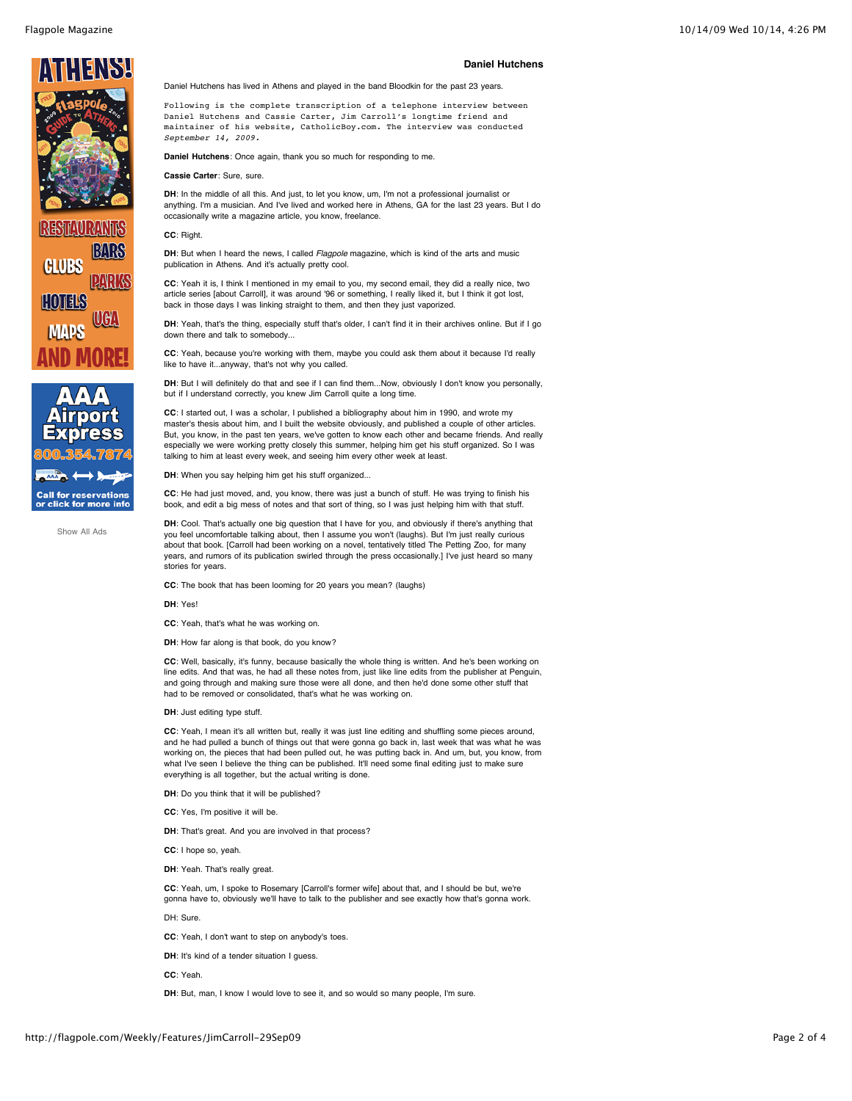



[Show All Ads](http://flagpole.com/Ads/Weekly/)

### **Daniel Hutchens**

Daniel Hutchens has lived in Athens and played in the band Bloodkin for the past 23 years.

Following is the complete transcription of a telephone interview between Daniel Hutchens and Cassie Carter, Jim Carroll's longtime friend and maintainer of his website, CatholicBoy.com. The interview was conducted *September 14, 2009.*

**Daniel Hutchens**: Once again, thank you so much for responding to me.

**Cassie Carter**: Sure, sure.

DH: In the middle of all this. And just, to let you know, um, I'm not a professional journalist or anything. I'm a musician. And I've lived and worked here in Athens, GA for the last 23 years. But I do occasionally write a magazine article, you know, freelance.

**CC**: Right.

**DH**: But when I heard the news, I called *Flagpole* magazine, which is kind of the arts and music publication in Athens. And it's actually pretty cool.

**CC**: Yeah it is, I think I mentioned in my email to you, my second email, they did a really nice, two article series [about Carroll], it was around '96 or something, I really liked it, but I think it got lost, back in those days I was linking straight to them, and then they just vaporized.

**DH**: Yeah, that's the thing, especially stuff that's older, I can't find it in their archives online. But if I go down there and talk to somebody...

**CC**: Yeah, because you're working with them, maybe you could ask them about it because I'd really like to have it...anyway, that's not why you called.

**DH**: But I will definitely do that and see if I can find them...Now, obviously I don't know you personally, but if I understand correctly, you knew Jim Carroll quite a long time.

**CC**: I started out, I was a scholar, I published a bibliography about him in 1990, and wrote my master's thesis about him, and I built the website obviously, and published a couple of other articles. But, you know, in the past ten years, we've gotten to know each other and became friends. And really especially we were working pretty closely this summer, helping him get his stuff organized. So I was talking to him at least every week, and seeing him every other week at least.

**DH**: When you say helping him get his stuff organized...

**CC**: He had just moved, and, you know, there was just a bunch of stuff. He was trying to finish his book, and edit a big mess of notes and that sort of thing, so I was just helping him with that stuff.

DH: Cool. That's actually one big question that I have for you, and obviously if there's anything that you feel uncomfortable talking about, then I assume you won't (laughs). But I'm just really curious about that book. [Carroll had been working on a novel, tentatively titled The Petting Zoo, for many years, and rumors of its publication swirled through the press occasionally.] I've just heard so many stories for years.

**CC**: The book that has been looming for 20 years you mean? (laughs)

**DH**: Yes!

**CC**: Yeah, that's what he was working on.

**DH**: How far along is that book, do you know?

**CC**: Well, basically, it's funny, because basically the whole thing is written. And he's been working on line edits. And that was, he had all these notes from, just like line edits from the publisher at Penguin, and going through and making sure those were all done, and then he'd done some other stuff that had to be removed or consolidated, that's what he was working on.

**DH**: Just editing type stuff.

**CC**: Yeah, I mean it's all written but, really it was just line editing and shuffling some pieces around, and he had pulled a bunch of things out that were gonna go back in, last week that was what he was working on, the pieces that had been pulled out, he was putting back in. And um, but, you know, from what I've seen I believe the thing can be published. It'll need some final editing just to make sure everything is all together, but the actual writing is done.

**DH**: Do you think that it will be published?

**CC**: Yes, I'm positive it will be.

**DH**: That's great. And you are involved in that process?

**CC**: I hope so, yeah.

**DH**: Yeah. That's really great.

**CC**: Yeah, um, I spoke to Rosemary [Carroll's former wife] about that, and I should be but, we're gonna have to, obviously we'll have to talk to the publisher and see exactly how that's gonna work.

DH: Sure.

**CC**: Yeah, I don't want to step on anybody's toes.

**DH**: It's kind of a tender situation I quess.

**CC**: Yeah.

DH: But, man, I know I would love to see it, and so would so many people, I'm sure.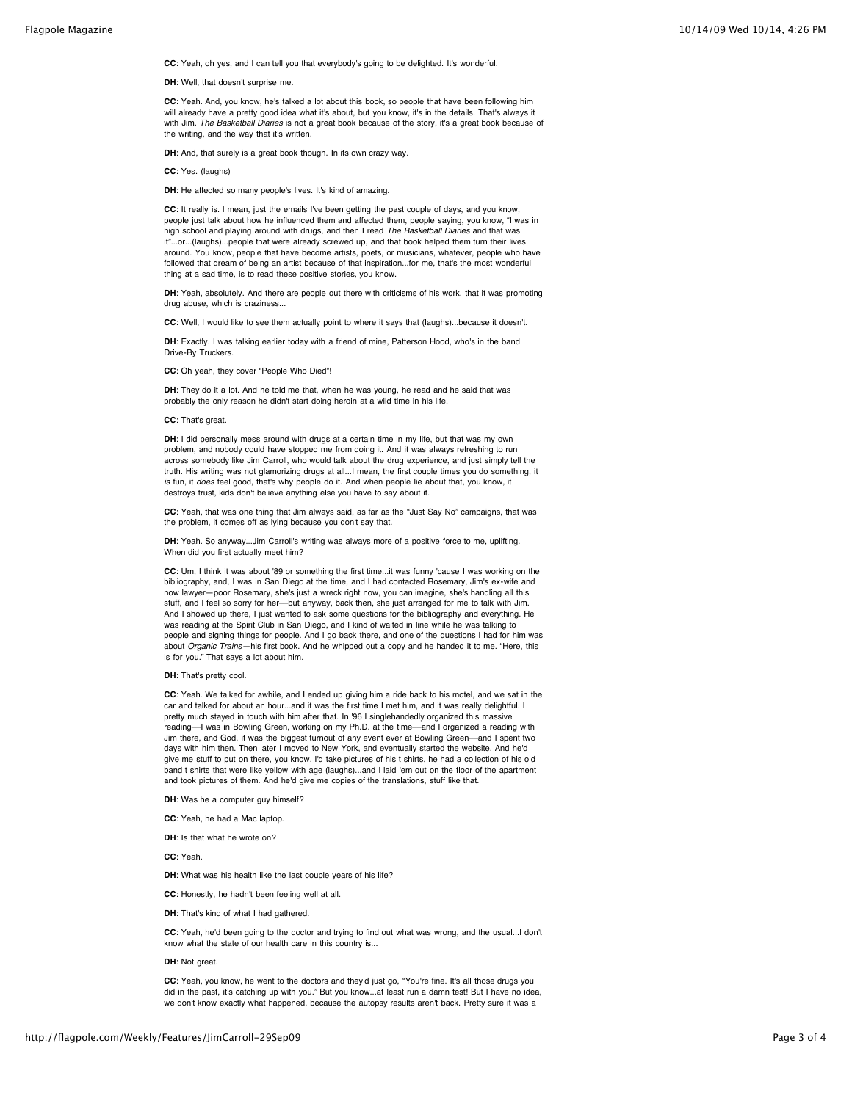**CC**: Yeah, oh yes, and I can tell you that everybody's going to be delighted. It's wonderful.

**DH**: Well, that doesn't surprise me.

**CC**: Yeah. And, you know, he's talked a lot about this book, so people that have been following him will already have a pretty good idea what it's about, but you know, it's in the details. That's always it with Jim. *The Basketball Diaries* is not a great book because of the story, it's a great book because of the writing, and the way that it's written.

**DH**: And, that surely is a great book though. In its own crazy way.

**CC**: Yes. (laughs)

DH: He affected so many people's lives. It's kind of amazing.

**CC**: It really is. I mean, just the emails I've been getting the past couple of days, and you know, people just talk about how he influenced them and affected them, people saying, you know, "I was in high school and playing around with drugs, and then I read *The Basketball Diaries* and that was it"...or...(laughs)...people that were already screwed up, and that book helped them turn their lives around. You know, people that have become artists, poets, or musicians, whatever, people who have followed that dream of being an artist because of that inspiration...for me, that's the most wonderful thing at a sad time, is to read these positive stories, you know.

DH: Yeah, absolutely. And there are people out there with criticisms of his work, that it was promoting drug abuse, which is craziness...

**CC**: Well, I would like to see them actually point to where it says that (laughs)...because it doesn't.

DH: Exactly. I was talking earlier today with a friend of mine, Patterson Hood, who's in the band Drive-By Truckers.

**CC**: Oh yeah, they cover "People Who Died"!

**DH**: They do it a lot. And he told me that, when he was young, he read and he said that was probably the only reason he didn't start doing heroin at a wild time in his life.

#### **CC**: That's great.

DH: I did personally mess around with drugs at a certain time in my life, but that was my own problem, and nobody could have stopped me from doing it. And it was always refreshing to run across somebody like Jim Carroll, who would talk about the drug experience, and just simply tell the truth. His writing was not glamorizing drugs at all...I mean, the first couple times you do something, it *is* fun, it *does* feel good, that's why people do it. And when people lie about that, you know, it destroys trust, kids don't believe anything else you have to say about it.

**CC**: Yeah, that was one thing that Jim always said, as far as the "Just Say No" campaigns, that was the problem, it comes off as lying because you don't say that.

DH: Yeah. So anyway...Jim Carroll's writing was always more of a positive force to me, uplifting. When did you first actually meet him?

**CC**: Um, I think it was about '89 or something the first time...it was funny 'cause I was working on the bibliography, and, I was in San Diego at the time, and I had contacted Rosemary, Jim's ex-wife and now lawyer—poor Rosemary, she's just a wreck right now, you can imagine, she's handling all this stuff, and I feel so sorry for her––but anyway, back then, she just arranged for me to talk with Jim. And I showed up there, I just wanted to ask some questions for the bibliography and everything. He was reading at the Spirit Club in San Diego, and I kind of waited in line while he was talking to people and signing things for people. And I go back there, and one of the questions I had for him was about *Organic Trains*—his first book. And he whipped out a copy and he handed it to me. "Here, this is for you." That says a lot about him.

### **DH**: That's pretty cool.

**CC**: Yeah. We talked for awhile, and I ended up giving him a ride back to his motel, and we sat in the car and talked for about an hour...and it was the first time I met him, and it was really delightful. I pretty much stayed in touch with him after that. In '96 I singlehandedly organized this massive reading––I was in Bowling Green, working on my Ph.D. at the time––and I organized a reading with Jim there, and God, it was the biggest turnout of any event ever at Bowling Green––and I spent two days with him then. Then later I moved to New York, and eventually started the website. And he'd give me stuff to put on there, you know, I'd take pictures of his t shirts, he had a collection of his old band t shirts that were like yellow with age (laughs)...and I laid 'em out on the floor of the apartment and took pictures of them. And he'd give me copies of the translations, stuff like that.

**DH**: Was he a computer guy himself?

**CC**: Yeah, he had a Mac laptop.

**DH**: Is that what he wrote on?

**CC**: Yeah.

**DH**: What was his health like the last couple years of his life?

- **CC**: Honestly, he hadn't been feeling well at all.
- **DH**: That's kind of what I had gathered.

**CC**: Yeah, he'd been going to the doctor and trying to find out what was wrong, and the usual...I don't know what the state of our health care in this country is...

**DH**: Not great.

CC: Yeah, you know, he went to the doctors and they'd just go, "You're fine. It's all those drugs you did in the past, it's catching up with you." But you know...at least run a damn test! But I have no idea, we don't know exactly what happened, because the autopsy results aren't back. Pretty sure it was a